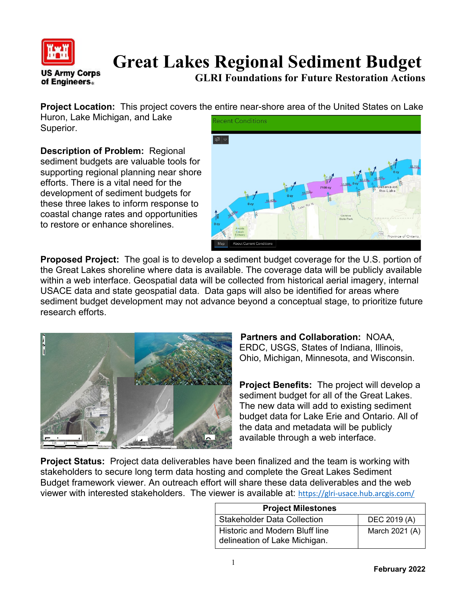

## **Great Lakes Regional Sediment Budget**

**GLRI Foundations for Future Restoration Actions**

**Project Location:** This project covers the entire near-shore area of the United States on Lake

Huron, Lake Michigan, and Lake Superior.

**Description of Problem:** Regional sediment budgets are valuable tools for supporting regional planning near shore efforts. There is a vital need for the development of sediment budgets for these three lakes to inform response to coastal change rates and opportunities to restore or enhance shorelines.



**Proposed Project:** The goal is to develop a sediment budget coverage for the U.S. portion of the Great Lakes shoreline where data is available. The coverage data will be publicly available within a web interface. Geospatial data will be collected from historical aerial imagery, internal USACE data and state geospatial data. Data gaps will also be identified for areas where sediment budget development may not advance beyond a conceptual stage, to prioritize future research efforts.



**Partners and Collaboration:** NOAA, ERDC, USGS, States of Indiana, Illinois, Ohio, Michigan, Minnesota, and Wisconsin.

**Project Benefits:** The project will develop a sediment budget for all of the Great Lakes. The new data will add to existing sediment budget data for Lake Erie and Ontario. All of the data and metadata will be publicly available through a web interface.

**Project Status:** Project data deliverables have been finalized and the team is working with stakeholders to secure long term data hosting and complete the Great Lakes Sediment Budget framework viewer. An outreach effort will share these data deliverables and the web viewer with interested stakeholders. The viewer is available at: <https://glri-usace.hub.arcgis.com/>

| <b>Project Milestones</b>                                       |                |
|-----------------------------------------------------------------|----------------|
| <b>Stakeholder Data Collection</b>                              | DEC 2019 (A)   |
| Historic and Modern Bluff line<br>delineation of Lake Michigan. | March 2021 (A) |